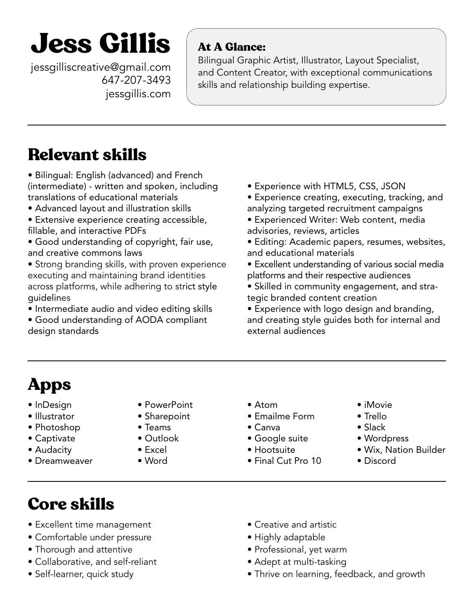# **Jess Gillis** At A Glance:

jessgilliscreative@gmail.com 647-207-3493 [j](http://jessgillis.com)[essgillis.co](http://jessgillis.com/cv-portfolio)[m](http://jessgillis.com)

Bilingual Graphic Artist, Illustrator, Layout Specialist, and Content Creator, with exceptional communications skills and relationship building expertise.

### Relevant skills

• Bilingual: English (advanced) and French (intermediate) - written and spoken, including translations of educational materials

- Advanced layout and illustration skills
- Extensive experience creating accessible, fillable, and interactive PDFs
- Good understanding of copyright, fair use, and creative commons laws
- Strong branding skills, with proven experience executing and maintaining brand identities across platforms, while adhering to strict style guidelines
- Intermediate audio and video editing skills
- Good understanding of AODA compliant design standards
- Experience with HTML5, CSS, JSON
- Experience creating, executing, tracking, and analyzing targeted recruitment campaigns
- Experienced Writer: Web content, media advisories, reviews, articles
- Editing: Academic papers, resumes, websites, and educational materials
- Excellent understanding of various social media platforms and their respective audiences
- Skilled in community engagement, and strategic branded content creation
- Experience with logo design and branding, and creating style guides both for internal and external audiences

## Apps

- InDesign
- Illustrator
- Photoshop
- Captivate
- Audacity
- Dreamweaver
- PowerPoint
- Sharepoint
- Teams
- Outlook
- Excel
- Word
- Atom
- Emailme Form
- Canva
- Google suite
- Hootsuite
- Final Cut Pro 10
- iMovie
- Trello • Slack
- 
- Wordpress
- Wix, Nation Builder
- Discord

### Core skills

- Excellent time management
- Comfortable under pressure
- Thorough and attentive
- Collaborative, and self-reliant
- Self-learner, quick study
- Creative and artistic
- Highly adaptable
- Professional, yet warm
- Adept at multi-tasking
- Thrive on learning, feedback, and growth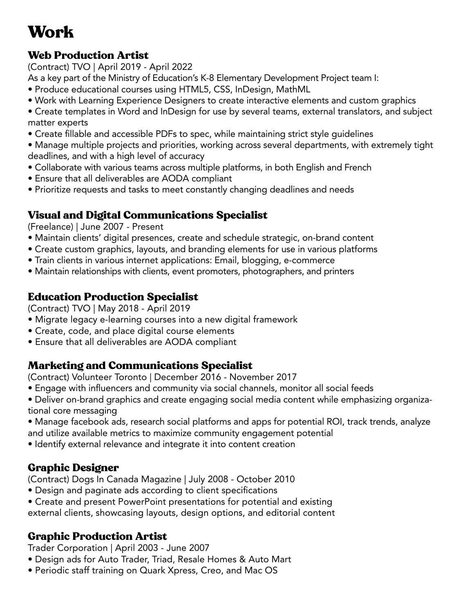### Work

#### Web Production Artist

(Contract) TVO | April 2019 - April 2022

As a key part of the Ministry of Education's K-8 Elementary Development Project team I:

- Produce educational courses using HTML5, CSS, InDesign, MathML
- Work with Learning Experience Designers to create interactive elements and custom graphics
- Create templates in Word and InDesign for use by several teams, external translators, and subject matter experts
- Create fillable and accessible PDFs to spec, while maintaining strict style guidelines
- Manage multiple projects and priorities, working across several departments, with extremely tight deadlines, and with a high level of accuracy
- Collaborate with various teams across multiple platforms, in both English and French
- Ensure that all deliverables are AODA compliant
- Prioritize requests and tasks to meet constantly changing deadlines and needs

#### Visual and Digital Communications Specialist

(Freelance) | June 2007 - Present

- Maintain clients' digital presences, create and schedule strategic, on-brand content
- Create custom graphics, layouts, and branding elements for use in various platforms
- Train clients in various internet applications: Email, blogging, e-commerce
- Maintain relationships with clients, event promoters, photographers, and printers

#### Education Production Specialist

(Contract) TVO | May 2018 - April 2019

- Migrate legacy e-learning courses into a new digital framework
- Create, code, and place digital course elements
- Ensure that all deliverables are AODA compliant

#### Marketing and Communications Specialist

(Contract) Volunteer Toronto | December 2016 - November 2017

- Engage with influencers and community via social channels, monitor all social feeds
- Deliver on-brand graphics and create engaging social media content while emphasizing organizational core messaging
- Manage facebook ads, research social platforms and apps for potential ROI, track trends, analyze and utilize available metrics to maximize community engagement potential
- Identify external relevance and integrate it into content creation

#### Graphic Designer

(Contract) Dogs In Canada Magazine | July 2008 - October 2010

- Design and paginate ads according to client specifications
- Create and present PowerPoint presentations for potential and existing external clients, showcasing layouts, design options, and editorial content

#### Graphic Production Artist

Trader Corporation | April 2003 - June 2007

- Design ads for Auto Trader, Triad, Resale Homes & Auto Mart
- Periodic staff training on Quark Xpress, Creo, and Mac OS